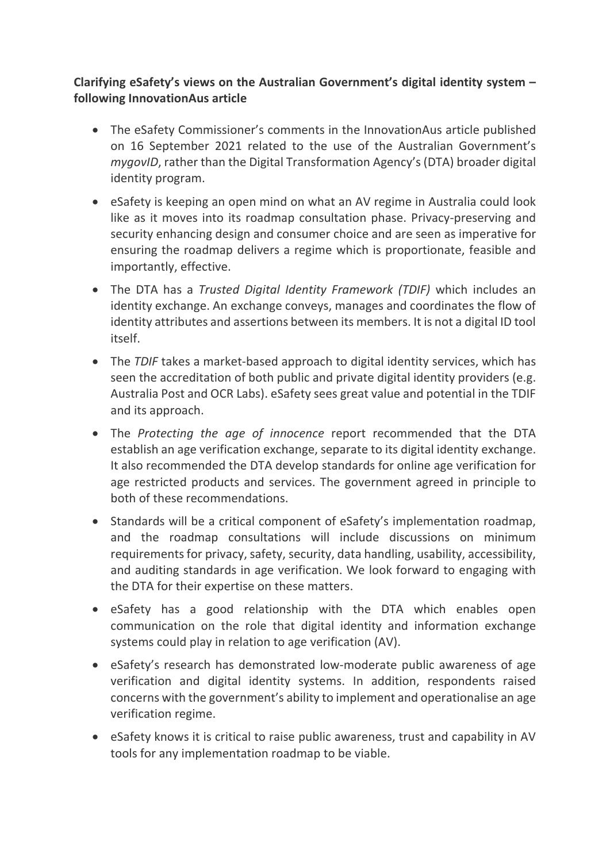## **Clarifying eSafety's views on the Australian Government's digital identity system – following InnovationAus article**

- The eSafety Commissioner's comments in the InnovationAus article published on 16 September 2021 related to the use of the Australian Government's *mygovID*, rather than the Digital Transformation Agency's (DTA) broader digital identity program.
- eSafety is keeping an open mind on what an AV regime in Australia could look like as it moves into its roadmap consultation phase. Privacy-preserving and security enhancing design and consumer choice and are seen as imperative for ensuring the roadmap delivers a regime which is proportionate, feasible and importantly, effective.
- The DTA has a *Trusted Digital Identity Framework (TDIF)* which includes an identity exchange. An exchange conveys, manages and coordinates the flow of identity attributes and assertions between its members. It is not a digital ID tool itself.
- The *TDIF* takes a market-based approach to digital identity services, which has seen the accreditation of both public and private digital identity providers (e.g. Australia Post and OCR Labs). eSafety sees great value and potential in the TDIF and its approach.
- The *Protecting the age of innocence* report recommended that the DTA establish an age verification exchange, separate to its digital identity exchange. It also recommended the DTA develop standards for online age verification for age restricted products and services. The government agreed in principle to both of these recommendations.
- Standards will be a critical component of eSafety's implementation roadmap, and the roadmap consultations will include discussions on minimum requirements for privacy, safety, security, data handling, usability, accessibility, and auditing standards in age verification. We look forward to engaging with the DTA for their expertise on these matters.
- eSafety has a good relationship with the DTA which enables open communication on the role that digital identity and information exchange systems could play in relation to age verification (AV).
- eSafety's research has demonstrated low-moderate public awareness of age verification and digital identity systems. In addition, respondents raised concerns with the government's ability to implement and operationalise an age verification regime.
- eSafety knows it is critical to raise public awareness, trust and capability in AV tools for any implementation roadmap to be viable.